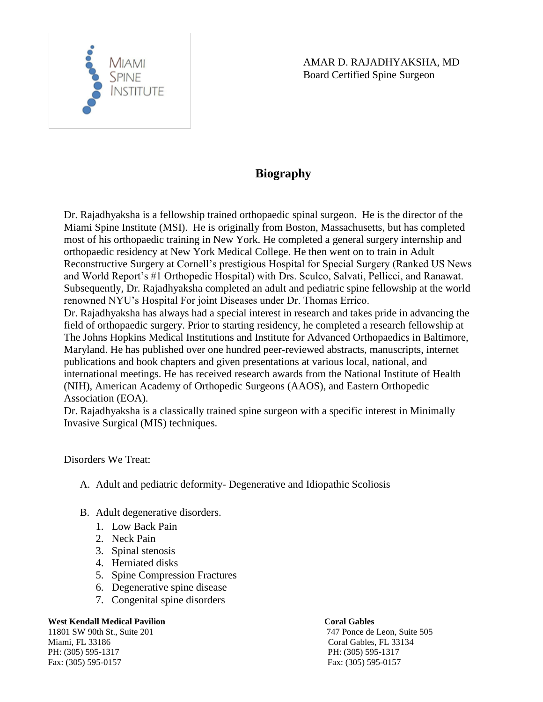

# **Biography**

Dr. Rajadhyaksha is a fellowship trained orthopaedic spinal surgeon. He is the director of the Miami Spine Institute (MSI). He is originally from Boston, Massachusetts, but has completed most of his orthopaedic training in New York. He completed a general surgery internship and orthopaedic residency at New York Medical College. He then went on to train in Adult Reconstructive Surgery at Cornell's prestigious Hospital for Special Surgery (Ranked US News and World Report's #1 Orthopedic Hospital) with Drs. Sculco, Salvati, Pellicci, and Ranawat. Subsequently, Dr. Rajadhyaksha completed an adult and pediatric spine fellowship at the world renowned NYU's Hospital For joint Diseases under Dr. Thomas Errico.

Dr. Rajadhyaksha has always had a special interest in research and takes pride in advancing the field of orthopaedic surgery. Prior to starting residency, he completed a research fellowship at The Johns Hopkins Medical Institutions and Institute for Advanced Orthopaedics in Baltimore, Maryland. He has published over one hundred peer-reviewed abstracts, manuscripts, internet publications and book chapters and given presentations at various local, national, and international meetings. He has received research awards from the National Institute of Health (NIH), American Academy of Orthopedic Surgeons (AAOS), and Eastern Orthopedic Association (EOA).

Dr. Rajadhyaksha is a classically trained spine surgeon with a specific interest in Minimally Invasive Surgical (MIS) techniques.

## Disorders We Treat:

- A. Adult and pediatric deformity- Degenerative and Idiopathic Scoliosis
- B. Adult degenerative disorders.
	- 1. Low Back Pain
	- 2. Neck Pain
	- 3. Spinal stenosis
	- 4. Herniated disks
	- 5. Spine Compression Fractures
	- 6. Degenerative spine disease
	- 7. Congenital spine disorders

## **West Kendall Medical Pavilion Coral Gables**

Miami, FL 33186 Coral Gables, FL 33134 PH: (305) 595-1317 PH: (305) 595-1317 Fax: (305) 595-0157 Fax: (305) 595-0157

11801 SW 90th St., Suite 201 747 Ponce de Leon, Suite 505